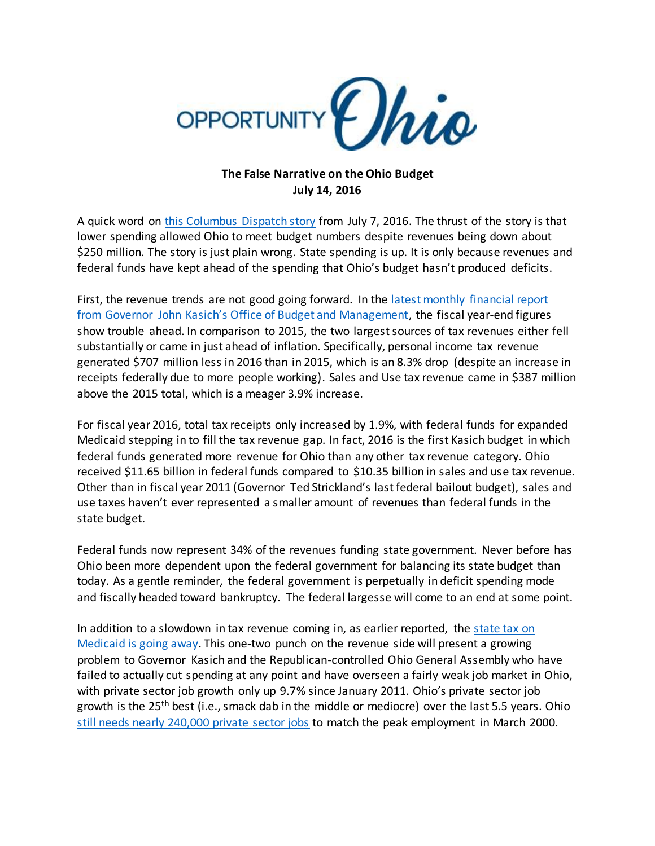

## **The False Narrative on the Ohio Budget July 14, 2016**

A quick word o[n this Columbus Dispatch story](http://www.dispatch.com/content/stories/local/2016/07/07/lower-medicaid-spending-helps-state-budget-land-on-solid-ground.html) from July 7, 2016. The thrust of the story is that lower spending allowed Ohio to meet budget numbers despite revenues being down about \$250 million. The story is just plain wrong. State spending is up. It is only because revenues and federal funds have kept ahead of the spending that Ohio's budget hasn't produced deficits.

First, the revenue trends are not good going forward. In the [latest monthly financial report](http://obm.ohio.gov/Budget/monthlyfinancial/doc/2016-07_mfr.pdf)  from Govern[or John Kasich's Office of Budget and Management](http://obm.ohio.gov/Budget/monthlyfinancial/doc/2016-07_mfr.pdf), the fiscal year-end figures show trouble ahead. In comparison to 2015, the two largest sources of tax revenues either fell substantially or came in just ahead of inflation. Specifically, personal income tax revenue generated \$707 million less in 2016 than in 2015, which is an 8.3% drop (despite an increase in receipts federally due to more people working). Sales and Use tax revenue came in \$387 million above the 2015 total, which is a meager 3.9% increase.

For fiscal year 2016, total tax receipts only increased by 1.9%, with federal funds for expanded Medicaid stepping in to fill the tax revenue gap. In fact, 2016 is the first Kasich budget in which federal funds generated more revenue for Ohio than any other tax revenue category. Ohio received \$11.65 billion in federal funds compared to \$10.35 billion in sales and use tax revenue. Other than in fiscal year 2011 (Governor Ted Strickland's last federal bailout budget), sales and use taxes haven't ever represented a smaller amount of revenues than federal funds in the state budget.

Federal funds now represent 34% of the revenues funding state government. Never before has Ohio been more dependent upon the federal government for balancing its state budget than today. As a gentle reminder, the federal government is perpetually in deficit spending mode and fiscally headed toward bankruptcy. The federal largesse will come to an end at some point.

In addition to a slowdown in tax revenue coming in, as earlier reported, the state tax on [Medicaid is going away.](http://www.dispatch.com/content/stories/local/2016/07/03/state-counties-facing-big-loss-of-tax-revenue.html) This one-two punch on the revenue side will present a growing problem to Governor Kasich and the Republican-controlled Ohio General Assembly who have failed to actually cut spending at any point and have overseen a fairly weak job market in Ohio, with private sector job growth only up 9.7% since January 2011. Ohio's private sector job growth is the 25th best (i.e., smack dab in the middle or mediocre) over the last 5.5 years. Ohio [still needs nearly 240,000 private sector jobs](http://www.opportunityohio.org/ojr-28/) to match the peak employment in March 2000.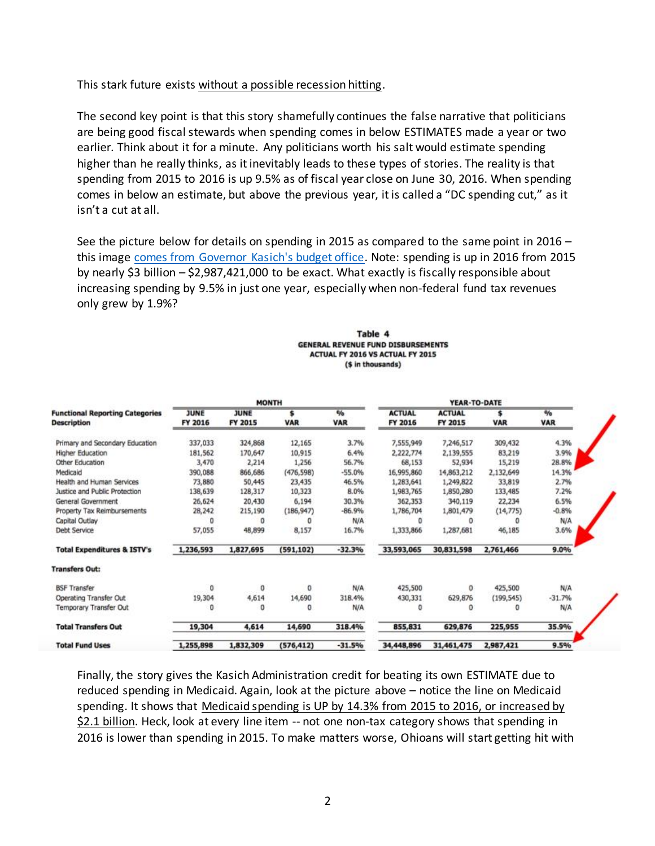This stark future exists without a possible recession hitting.

The second key point is that this story shamefully continues the false narrative that politicians are being good fiscal stewards when spending comes in below ESTIMATES made a year or two earlier. Think about it for a minute. Any politicians worth his salt would estimate spending higher than he really thinks, as it inevitably leads to these types of stories. The reality is that spending from 2015 to 2016 is up 9.5% as of fiscal year close on June 30, 2016. When spending comes in below an estimate, but above the previous year, it is called a "DC spending cut," as it isn't a cut at all.

See the picture below for details on spending in 2015 as compared to the same point in 2016 – this image [comes from Governor Kasich's budget office.](http://obm.ohio.gov/budget/monthlyfinancial/doc/2016-06_mfr.pdf) Note: spending is up in 2016 from 2015 by nearly \$3 billion – \$2,987,421,000 to be exact. What exactly is fiscally responsible about increasing spending by 9.5% in just one year, especially when non-federal fund tax revenues only grew by 1.9%?

| Table 4                                   |
|-------------------------------------------|
| <b>GENERAL REVENUE FUND DISBURSEMENTS</b> |
| ACTUAL FY 2016 VS ACTUAL FY 2015          |
| (\$ in thousands)                         |

|                                        | <b>MONTH</b> |             |            |            | <b>YEAR-TO-DATE</b> |               |            |               |
|----------------------------------------|--------------|-------------|------------|------------|---------------------|---------------|------------|---------------|
| <b>Functional Reporting Categories</b> | <b>JUNE</b>  | <b>JUNE</b> | s          | %          | <b>ACTUAL</b>       | <b>ACTUAL</b> | \$         | $\frac{a}{b}$ |
| <b>Description</b>                     | FY 2016      | FY 2015     | <b>VAR</b> | <b>VAR</b> | FY 2016             | FY 2015       | <b>VAR</b> | <b>VAR</b>    |
| Primary and Secondary Education        | 337,033      | 324,868     | 12,165     | 3.7%       | 7,555,949           | 7,246,517     | 309,432    | 4.3%          |
| Higher Education                       | 181,562      | 170,647     | 10,915     | 6.4%       | 2,222,774           | 2,139,555     | 83,219     | 3.9%          |
| Other Education                        | 3,470        | 2,214       | 1,256      | 56.7%      | 68,153              | 52,934        | 15,219     | 28.8%         |
| Medicaid                               | 390,088      | 866,686     | (476, 598) | $-55.0%$   | 16,995,860          | 14,863,212    | 2,132,649  | 14.3%         |
| Health and Human Services              | 73,880       | 50,445      | 23,435     | 46.5%      | 1,283,641           | 1,249,822     | 33,819     | 2.7%          |
| Justice and Public Protection          | 138,639      | 128,317     | 10,323     | 8.0%       | 1,983,765           | 1,850,280     | 133,485    | 7.2%          |
| General Government                     | 26,624       | 20,430      | 6,194      | 30.3%      | 362,353             | 340,119       | 22,234     | 6.5%          |
| Property Tax Reimbursements            | 28,242       | 215,190     | (186, 947) | $-86.9%$   | 1,786,704           | 1,801,479     | (14, 775)  | $-0.8%$       |
| Capital Outlay                         | o            | o           | o          | N/A        |                     | o             |            | N/A           |
| <b>Debt Service</b>                    | 57,055       | 48,899      | 8,157      | 16.7%      | 1,333,866           | 1,287,681     | 46,185     | 3.6%          |
| <b>Total Expenditures &amp; ISTV's</b> | 1,236,593    | 1,827,695   | (591, 102) | $-32.3%$   | 33,593,065          | 30,831,598    | 2,761,466  | 9.0%          |
| <b>Transfers Out:</b>                  |              |             |            |            |                     |               |            |               |
| <b>BSF Transfer</b>                    | Ŭ            | 0           | 0          | N/A        | 425,500             | 0             | 425,500    | N/A           |
| Operating Transfer Out                 | 19,304       | 4,614       | 14,690     | 318.4%     | 430,331             | 629,876       | (199, 545) | $-31.7%$      |
| Temporary Transfer Out                 | ٥            | Ð           | 0          | N/A        | o                   | o             | Ð          | N/A           |
| <b>Total Transfers Out</b>             | 19,304       | 4,614       | 14,690     | 318.4%     | 855,831             | 629,876       | 225,955    | 35.9%         |
| <b>Total Fund Uses</b>                 | 1,255,898    | 1,832,309   | (576, 412) | $-31.5%$   | 34,448,896          | 31,461,475    | 2,987,421  | 9.5%          |

Finally, the story gives the Kasich Administration credit for beating its own ESTIMATE due to reduced spending in Medicaid. Again, look at the picture above – notice the line on Medicaid spending. It shows that Medicaid spending is UP by 14.3% from 2015 to 2016, or increased by \$2.1 billion. Heck, look at every line item -- not one non-tax category shows that spending in 2016 is lower than spending in 2015. To make matters worse, Ohioans will start getting hit with